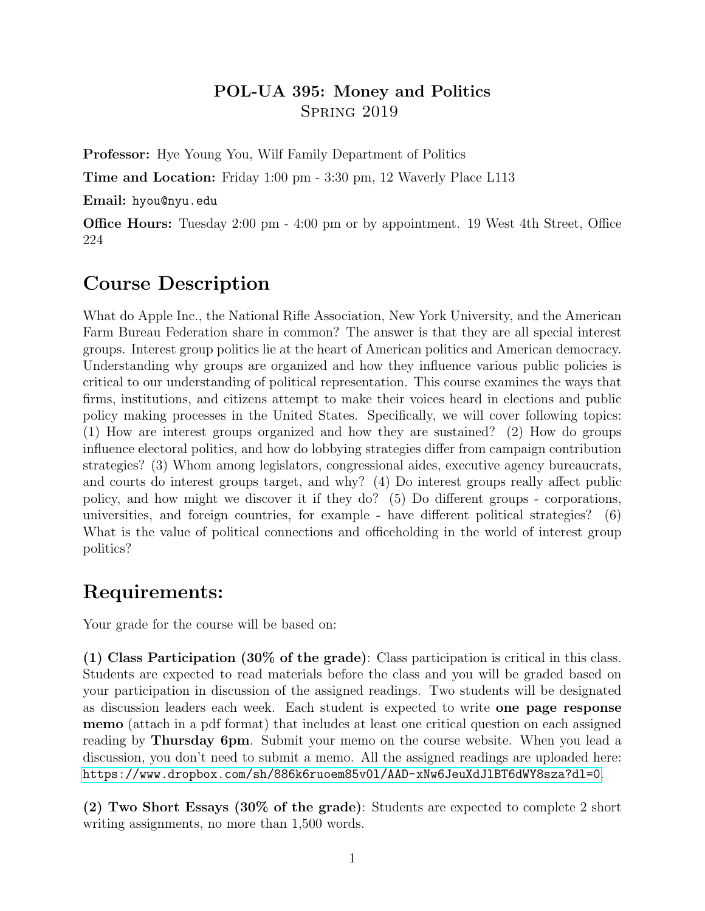### POL-UA 395: Money and Politics Spring 2019

Professor: Hye Young You, Wilf Family Department of Politics

Time and Location: Friday 1:00 pm - 3:30 pm, 12 Waverly Place L113

Email: hyou@nyu.edu

Office Hours: Tuesday 2:00 pm - 4:00 pm or by appointment. 19 West 4th Street, Office 224

# Course Description

What do Apple Inc., the National Rifle Association, New York University, and the American Farm Bureau Federation share in common? The answer is that they are all special interest groups. Interest group politics lie at the heart of American politics and American democracy. Understanding why groups are organized and how they influence various public policies is critical to our understanding of political representation. This course examines the ways that firms, institutions, and citizens attempt to make their voices heard in elections and public policy making processes in the United States. Specifically, we will cover following topics: (1) How are interest groups organized and how they are sustained? (2) How do groups influence electoral politics, and how do lobbying strategies differ from campaign contribution strategies? (3) Whom among legislators, congressional aides, executive agency bureaucrats, and courts do interest groups target, and why? (4) Do interest groups really affect public policy, and how might we discover it if they do? (5) Do different groups - corporations, universities, and foreign countries, for example - have different political strategies? (6) What is the value of political connections and officeholding in the world of interest group politics?

# Requirements:

Your grade for the course will be based on:

(1) Class Participation (30% of the grade): Class participation is critical in this class. Students are expected to read materials before the class and you will be graded based on your participation in discussion of the assigned readings. Two students will be designated as discussion leaders each week. Each student is expected to write one page response memo (attach in a pdf format) that includes at least one critical question on each assigned reading by Thursday 6pm. Submit your memo on the course website. When you lead a discussion, you don't need to submit a memo. All the assigned readings are uploaded here: <https://www.dropbox.com/sh/886k6ruoem85v0l/AAD-xNw6JeuXdJlBT6dWY8sza?dl=0>.

(2) Two Short Essays (30% of the grade): Students are expected to complete 2 short writing assignments, no more than 1,500 words.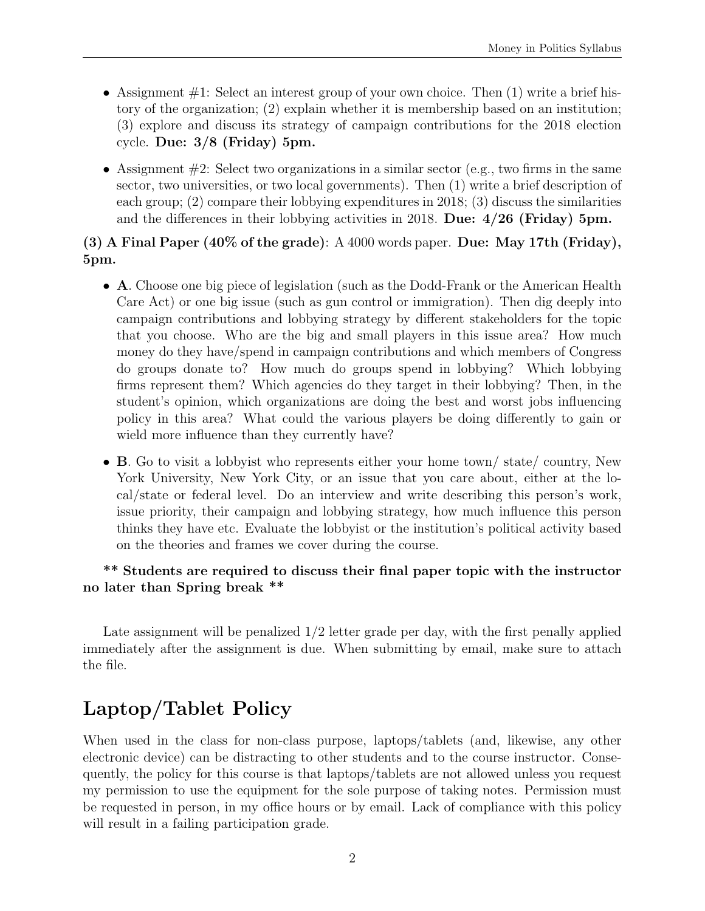- Assignment  $\#1$ : Select an interest group of your own choice. Then (1) write a brief history of the organization; (2) explain whether it is membership based on an institution; (3) explore and discuss its strategy of campaign contributions for the 2018 election cycle. Due: 3/8 (Friday) 5pm.
- Assignment  $#2$ : Select two organizations in a similar sector (e.g., two firms in the same sector, two universities, or two local governments). Then (1) write a brief description of each group; (2) compare their lobbying expenditures in 2018; (3) discuss the similarities and the differences in their lobbying activities in 2018. Due:  $4/26$  (Friday) 5pm.

#### (3) A Final Paper  $(40\%$  of the grade): A  $4000$  words paper. Due: May 17th (Friday), 5pm.

- A. Choose one big piece of legislation (such as the Dodd-Frank or the American Health Care Act) or one big issue (such as gun control or immigration). Then dig deeply into campaign contributions and lobbying strategy by different stakeholders for the topic that you choose. Who are the big and small players in this issue area? How much money do they have/spend in campaign contributions and which members of Congress do groups donate to? How much do groups spend in lobbying? Which lobbying firms represent them? Which agencies do they target in their lobbying? Then, in the student's opinion, which organizations are doing the best and worst jobs influencing policy in this area? What could the various players be doing differently to gain or wield more influence than they currently have?
- B. Go to visit a lobbyist who represents either your home town/ state/ country, New York University, New York City, or an issue that you care about, either at the local/state or federal level. Do an interview and write describing this person's work, issue priority, their campaign and lobbying strategy, how much influence this person thinks they have etc. Evaluate the lobbyist or the institution's political activity based on the theories and frames we cover during the course.

#### \*\* Students are required to discuss their final paper topic with the instructor no later than Spring break \*\*

Late assignment will be penalized 1/2 letter grade per day, with the first penally applied immediately after the assignment is due. When submitting by email, make sure to attach the file.

# Laptop/Tablet Policy

When used in the class for non-class purpose, laptops/tablets (and, likewise, any other electronic device) can be distracting to other students and to the course instructor. Consequently, the policy for this course is that laptops/tablets are not allowed unless you request my permission to use the equipment for the sole purpose of taking notes. Permission must be requested in person, in my office hours or by email. Lack of compliance with this policy will result in a failing participation grade.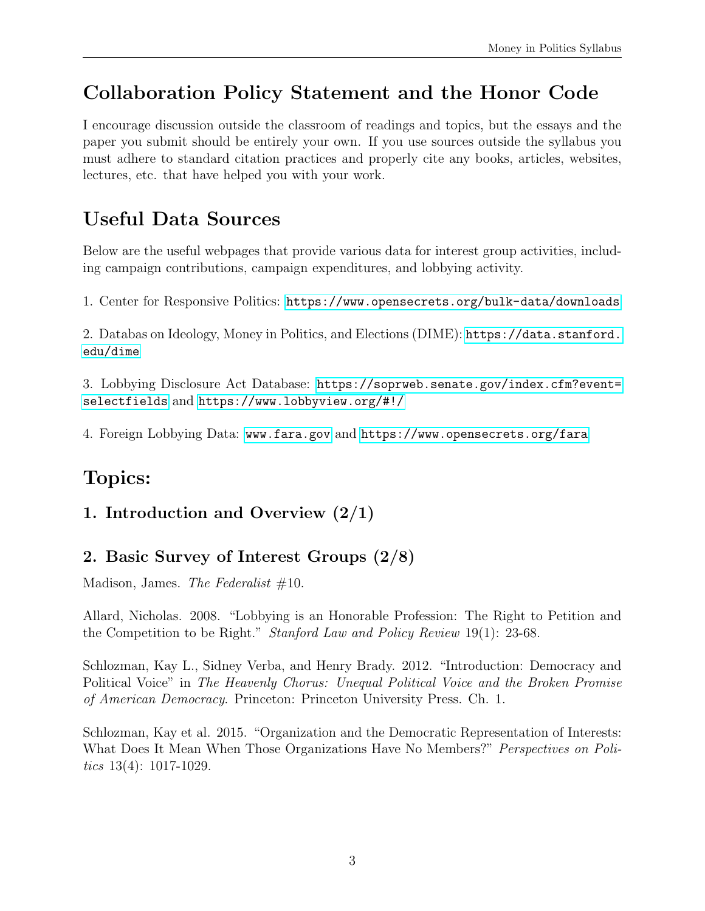# Collaboration Policy Statement and the Honor Code

I encourage discussion outside the classroom of readings and topics, but the essays and the paper you submit should be entirely your own. If you use sources outside the syllabus you must adhere to standard citation practices and properly cite any books, articles, websites, lectures, etc. that have helped you with your work.

# Useful Data Sources

Below are the useful webpages that provide various data for interest group activities, including campaign contributions, campaign expenditures, and lobbying activity.

1. Center for Responsive Politics: <https://www.opensecrets.org/bulk-data/downloads>

2. Databas on Ideology, Money in Politics, and Elections (DIME): [https://data.stanford.](https://data.stanford.edu/dime) [edu/dime](https://data.stanford.edu/dime)

3. Lobbying Disclosure Act Database: [https://soprweb.senate.gov/index.cfm?event=](https://soprweb.senate.gov/index.cfm?event=selectfields) [selectfields](https://soprweb.senate.gov/index.cfm?event=selectfields) and <https://www.lobbyview.org/#!/>

4. Foreign Lobbying Data: <www.fara.gov> and <https://www.opensecrets.org/fara>

# Topics:

### 1. Introduction and Overview (2/1)

### 2. Basic Survey of Interest Groups (2/8)

Madison, James. The Federalist  $#10$ .

Allard, Nicholas. 2008. "Lobbying is an Honorable Profession: The Right to Petition and the Competition to be Right." Stanford Law and Policy Review 19(1): 23-68.

Schlozman, Kay L., Sidney Verba, and Henry Brady. 2012. "Introduction: Democracy and Political Voice" in The Heavenly Chorus: Unequal Political Voice and the Broken Promise of American Democracy. Princeton: Princeton University Press. Ch. 1.

Schlozman, Kay et al. 2015. "Organization and the Democratic Representation of Interests: What Does It Mean When Those Organizations Have No Members?" *Perspectives on Poli*tics  $13(4)$ : 1017-1029.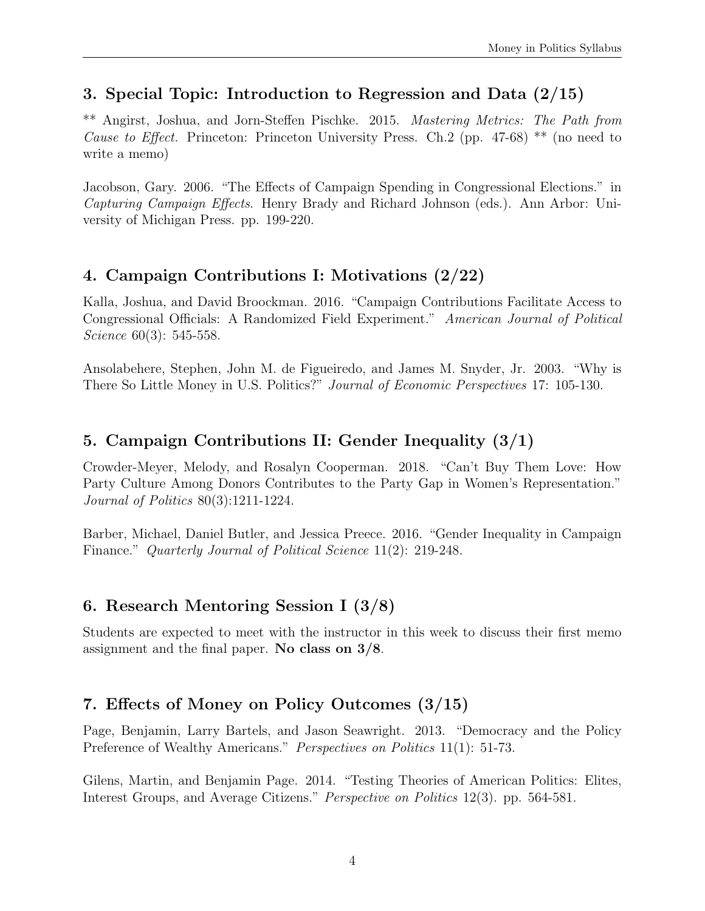## 3. Special Topic: Introduction to Regression and Data (2/15)

\*\* Angirst, Joshua, and Jorn-Steffen Pischke. 2015. Mastering Metrics: The Path from *Cause to Effect.* Princeton: Princeton University Press. Ch.2 (pp. 47-68) \*\* (no need to write a memo)

Jacobson, Gary. 2006. "The Effects of Campaign Spending in Congressional Elections." in Capturing Campaign Effects. Henry Brady and Richard Johnson (eds.). Ann Arbor: University of Michigan Press. pp. 199-220.

### 4. Campaign Contributions I: Motivations (2/22)

Kalla, Joshua, and David Broockman. 2016. "Campaign Contributions Facilitate Access to Congressional Officials: A Randomized Field Experiment." American Journal of Political Science 60(3): 545-558.

Ansolabehere, Stephen, John M. de Figueiredo, and James M. Snyder, Jr. 2003. "Why is There So Little Money in U.S. Politics?" Journal of Economic Perspectives 17: 105-130.

## 5. Campaign Contributions II: Gender Inequality (3/1)

Crowder-Meyer, Melody, and Rosalyn Cooperman. 2018. "Can't Buy Them Love: How Party Culture Among Donors Contributes to the Party Gap in Women's Representation." Journal of Politics 80(3):1211-1224.

Barber, Michael, Daniel Butler, and Jessica Preece. 2016. "Gender Inequality in Campaign Finance." Quarterly Journal of Political Science 11(2): 219-248.

## 6. Research Mentoring Session I (3/8)

Students are expected to meet with the instructor in this week to discuss their first memo assignment and the final paper. No class on 3/8.

## 7. Effects of Money on Policy Outcomes (3/15)

Page, Benjamin, Larry Bartels, and Jason Seawright. 2013. "Democracy and the Policy Preference of Wealthy Americans." *Perspectives on Politics* 11(1): 51-73.

Gilens, Martin, and Benjamin Page. 2014. "Testing Theories of American Politics: Elites, Interest Groups, and Average Citizens." Perspective on Politics 12(3). pp. 564-581.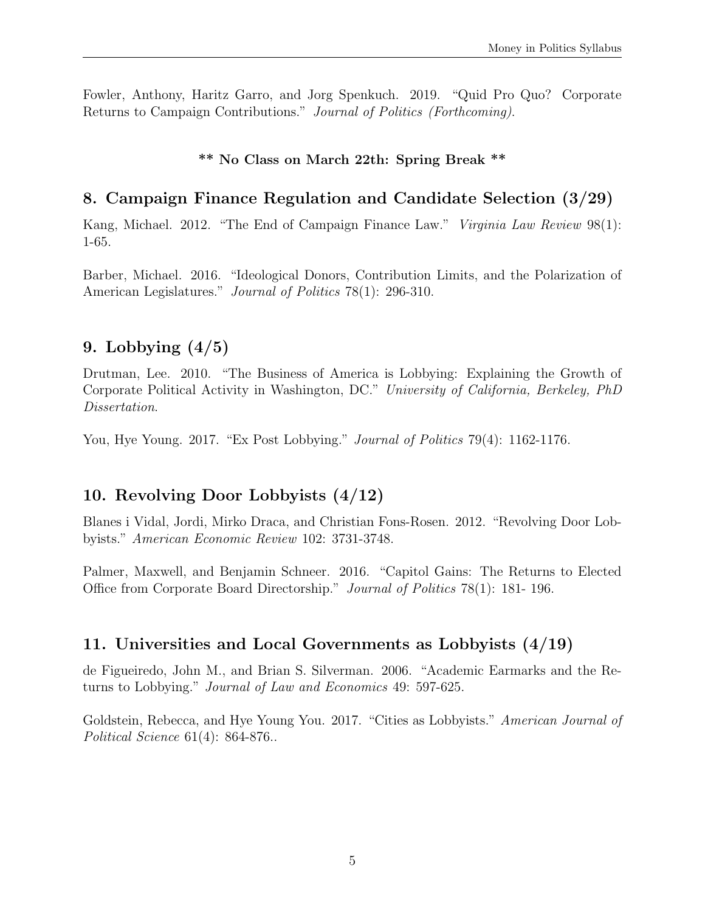Fowler, Anthony, Haritz Garro, and Jorg Spenkuch. 2019. "Quid Pro Quo? Corporate Returns to Campaign Contributions." Journal of Politics (Forthcoming).

#### \*\* No Class on March 22th: Spring Break \*\*

#### 8. Campaign Finance Regulation and Candidate Selection (3/29)

Kang, Michael. 2012. "The End of Campaign Finance Law." *Virginia Law Review* 98(1): 1-65.

Barber, Michael. 2016. "Ideological Donors, Contribution Limits, and the Polarization of American Legislatures." *Journal of Politics* 78(1): 296-310.

#### 9. Lobbying  $(4/5)$

Drutman, Lee. 2010. "The Business of America is Lobbying: Explaining the Growth of Corporate Political Activity in Washington, DC." University of California, Berkeley, PhD Dissertation.

You, Hye Young. 2017. "Ex Post Lobbying." *Journal of Politics* 79(4): 1162-1176.

#### 10. Revolving Door Lobbyists (4/12)

Blanes i Vidal, Jordi, Mirko Draca, and Christian Fons-Rosen. 2012. "Revolving Door Lobbyists." American Economic Review 102: 3731-3748.

Palmer, Maxwell, and Benjamin Schneer. 2016. "Capitol Gains: The Returns to Elected Office from Corporate Board Directorship." Journal of Politics 78(1): 181- 196.

#### 11. Universities and Local Governments as Lobbyists (4/19)

de Figueiredo, John M., and Brian S. Silverman. 2006. "Academic Earmarks and the Returns to Lobbying." Journal of Law and Economics 49: 597-625.

Goldstein, Rebecca, and Hye Young You. 2017. "Cities as Lobbyists." American Journal of Political Science 61(4): 864-876..